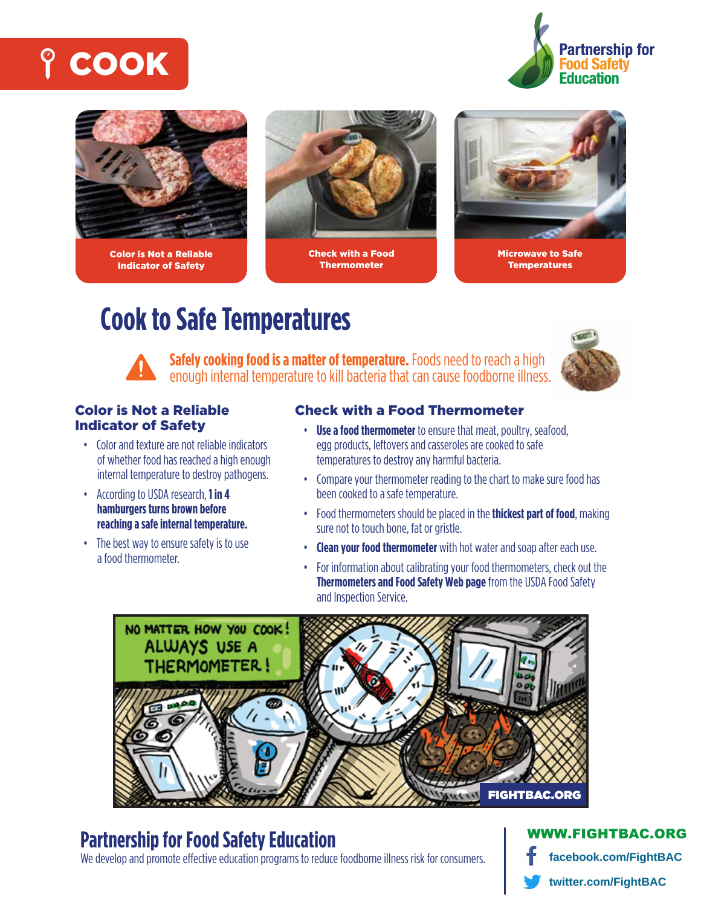





Color is Not a Reliable Indicator of Safety



Check with a Food **Thermometer** 



Microwave to Safe **Temperatures** 

# **Cook to Safe Temperatures**



**Safely cooking food is a matter of temperature.** Foods need to reach a high enough internal temperature to kill bacteria that can cause foodborne illness.



#### Color is Not a Reliable Indicator of Safety

- Color and texture are not reliable indicators of whether food has reached a high enough internal temperature to destroy pathogens.
- According to USDA research, **1 in 4 hamburgers turns brown before reaching a safe internal temperature.**
- The best way to ensure safety is to use a food thermometer.

## Check with a Food Thermometer

- **Use a food thermometer** to ensure that meat, poultry, seafood, egg products, leftovers and casseroles are cooked to safe temperatures to destroy any harmful bacteria.
- Compare your thermometer reading to the chart to make sure food has been cooked to a safe temperature.
- Food thermometers should be placed in the **thickest part of food**, making sure not to touch bone, fat or gristle.
- **Clean your food thermometer** with hot water and soap after each use.
- For information about calibrating your food thermometers, check out the **[Thermometers and Food Safety Web page](http://www.fsis.usda.gov/wps/portal/fsis/topics/food-safety-education/teach-others/fsis-educational-campaigns/thermy/thermometers-and-food-safety/ct_index)** from the USDA Food Safety and Inspection Service.



# **Partnership for Food Safety Education**

We develop and promote effective education programs to reduce foodborne illness risk for consumers.

### **W.FIGHTBAC.ORG**